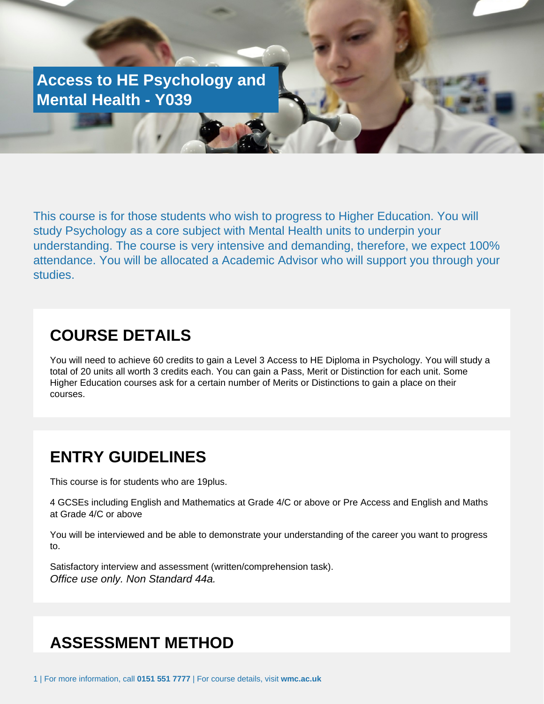**Access to HE Psychology and Mental Health - Y039**

Or Application Form to be returned to Student Services

This course is for those students who wish to progress to Higher Education. You will study Psychology as a core subject with Mental Health units to underpin your understanding. The course is very intensive and demanding, therefore, we expect 100% attendance. You will be allocated a Academic Advisor who will support you through your studies.

#### **COURSE DETAILS**

You will need to achieve 60 credits to gain a Level 3 Access to HE Diploma in Psychology. You will study a total of 20 units all worth 3 credits each. You can gain a Pass, Merit or Distinction for each unit. Some Higher Education courses ask for a certain number of Merits or Distinctions to gain a place on their courses.

#### **ENTRY GUIDELINES**

This course is for students who are 19plus.

4 GCSEs including English and Mathematics at Grade 4/C or above or Pre Access and English and Maths at Grade 4/C or above

You will be interviewed and be able to demonstrate your understanding of the career you want to progress to.

Satisfactory interview and assessment (written/comprehension task). Office use only. Non Standard 44a.

# **ASSESSMENT METHOD**

1 | For more information, call **0151 551 7777** | For course details, visit **wmc.ac.uk**